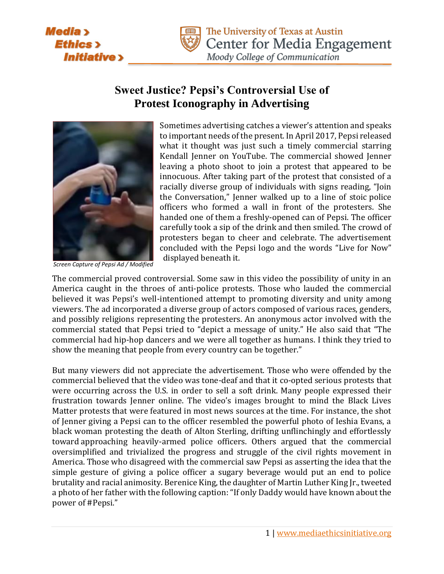**Media** > **Ethics**> **Initiative** 



# **Sweet Justice? Pepsi's Controversial Use of Protest Iconography in Advertising**



*Screen Capture of Pepsi Ad / Modified*

Sometimes advertising catches a viewer's attention and speaks to important needs of the present. In April 2017, Pepsi released what it thought was just such a timely commercial starring Kendall Jenner on YouTube. The commercial showed Jenner leaving a photo shoot to join a protest that appeared to be innocuous. After taking part of the protest that consisted of a racially diverse group of individuals with signs reading, "Join the Conversation," Jenner walked up to a line of stoic police officers who formed a wall in front of the protesters. She handed one of them a freshly-opened can of Pepsi. The officer carefully took a sip of the drink and then smiled. The crowd of protesters began to cheer and celebrate. The advertisement concluded with the Pepsi logo and the words "Live for Now" displayed beneath it.

The commercial proved controversial. Some saw in this video the possibility of unity in an America caught in the throes of anti-police protests. Those who lauded the commercial believed it was Pepsi's well-intentioned attempt to promoting diversity and unity among viewers. The ad incorporated a diverse group of actors composed of various races, genders, and possibly religions representing the protesters. An anonymous actor involved with the commercial stated that Pepsi tried to "depict a message of unity." He also said that "The commercial had hip-hop dancers and we were all together as humans. I think they tried to show the meaning that people from every country can be together."

But many viewers did not appreciate the advertisement. Those who were offended by the commercial believed that the video was tone-deaf and that it co-opted serious protests that were occurring across the U.S. in order to sell a soft drink. Many people expressed their frustration towards Jenner online. The video's images brought to mind the Black Lives Matter protests that were featured in most news sources at the time. For instance, the shot of Jenner giving a Pepsi can to the officer resembled the powerful photo of Ieshia Evans, a black woman protesting the death of Alton Sterling, drifting unflinchingly and effortlessly toward approaching heavily-armed police officers. Others argued that the commercial oversimplified and trivialized the progress and struggle of the civil rights movement in America. Those who disagreed with the commercial saw Pepsi as asserting the idea that the simple gesture of giving a police officer a sugary beverage would put an end to police brutality and racial animosity. Berenice King, the daughter of Martin Luther King Jr., tweeted a photo of her father with the following caption: "If only Daddy would have known about the power of #Pepsi."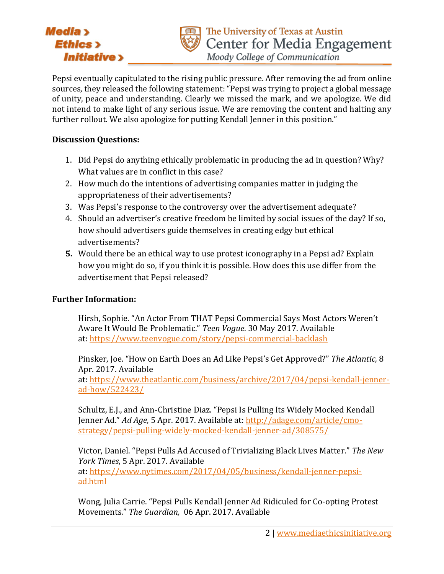## Media > **Ethics** > **Initiative**>



Moody College of Communication

Pepsi eventually capitulated to the rising public pressure. After removing the ad from online sources, they released the following statement: "Pepsi was trying to project a global message of unity, peace and understanding. Clearly we missed the mark, and we apologize. We did not intend to make light of any serious issue. We are removing the content and halting any further rollout. We also apologize for putting Kendall Jenner in this position."

#### **Discussion Questions:**

- 1. Did Pepsi do anything ethically problematic in producing the ad in question? Why? What values are in conflict in this case?
- 2. How much do the intentions of advertising companies matter in judging the appropriateness of their advertisements?
- 3. Was Pepsi's response to the controversy over the advertisement adequate?
- 4. Should an advertiser's creative freedom be limited by social issues of the day? If so, how should advertisers guide themselves in creating edgy but ethical advertisements?
- **5.** Would there be an ethical way to use protest iconography in a Pepsi ad? Explain how you might do so, if you think it is possible. How does this use differ from the advertisement that Pepsi released?

### **Further Information:**

Hirsh, Sophie. "An Actor From THAT Pepsi Commercial Says Most Actors Weren't Aware It Would Be Problematic." *Teen Vogue*. 30 May 2017. Available at: <https://www.teenvogue.com/story/pepsi-commercial-backlash>

Pinsker, Joe. "How on Earth Does an Ad Like Pepsi's Get Approved?" *The Atlantic,* 8 Apr. 2017. Available

at: [https://www.theatlantic.com/business/archive/2017/04/pepsi-kendall-jenner](https://www.theatlantic.com/business/archive/2017/04/pepsi-kendall-jenner-ad-how/522423/)[ad-how/522423/](https://www.theatlantic.com/business/archive/2017/04/pepsi-kendall-jenner-ad-how/522423/)

Schultz, E.J., and Ann-Christine Diaz. "Pepsi Is Pulling Its Widely Mocked Kendall Jenner Ad." *Ad Age,* 5 Apr. 2017. Available at: [http://adage.com/article/cmo](http://adage.com/article/cmo-strategy/pepsi-pulling-widely-mocked-kendall-jenner-ad/308575/)[strategy/pepsi-pulling-widely-mocked-kendall-jenner-ad/308575/](http://adage.com/article/cmo-strategy/pepsi-pulling-widely-mocked-kendall-jenner-ad/308575/)

Victor, Daniel. "Pepsi Pulls Ad Accused of Trivializing Black Lives Matter." *The New York Times*, 5 Apr. 2017. Available at: [https://www.nytimes.com/2017/04/05/business/kendall-jenner-pepsi-](https://www.nytimes.com/2017/04/05/business/kendall-jenner-pepsi-ad.html)

[ad.html](https://www.nytimes.com/2017/04/05/business/kendall-jenner-pepsi-ad.html)

Wong, Julia Carrie. "Pepsi Pulls Kendall Jenner Ad Ridiculed for Co-opting Protest Movements." *The Guardian,* 06 Apr. 2017. Available